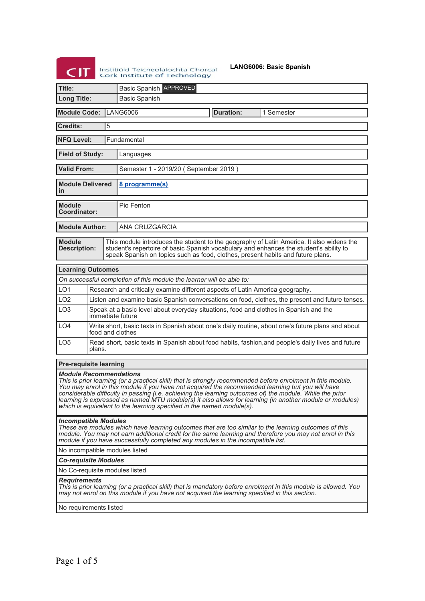**CIT** Instituïd Teicneolaíochta Chorcaí

**LANG6006: Basic Spanish**

|                                                                                                                                                                                                                                                                                                                                                                                                                                                                                                                                                         |                                                                                                              |                                                                                                           | Cork Institute of Technology                                                                                                                                                                                                                                          |  |                  |                                                                                                   |  |  |
|---------------------------------------------------------------------------------------------------------------------------------------------------------------------------------------------------------------------------------------------------------------------------------------------------------------------------------------------------------------------------------------------------------------------------------------------------------------------------------------------------------------------------------------------------------|--------------------------------------------------------------------------------------------------------------|-----------------------------------------------------------------------------------------------------------|-----------------------------------------------------------------------------------------------------------------------------------------------------------------------------------------------------------------------------------------------------------------------|--|------------------|---------------------------------------------------------------------------------------------------|--|--|
| Title:                                                                                                                                                                                                                                                                                                                                                                                                                                                                                                                                                  |                                                                                                              |                                                                                                           | <b>Basic Spanish APPROVED</b>                                                                                                                                                                                                                                         |  |                  |                                                                                                   |  |  |
| <b>Long Title:</b>                                                                                                                                                                                                                                                                                                                                                                                                                                                                                                                                      |                                                                                                              |                                                                                                           | <b>Basic Spanish</b>                                                                                                                                                                                                                                                  |  |                  |                                                                                                   |  |  |
| <b>Module Code:</b>                                                                                                                                                                                                                                                                                                                                                                                                                                                                                                                                     |                                                                                                              |                                                                                                           | <b>LANG6006</b>                                                                                                                                                                                                                                                       |  | <b>Duration:</b> | 1 Semester                                                                                        |  |  |
| <b>Credits:</b>                                                                                                                                                                                                                                                                                                                                                                                                                                                                                                                                         |                                                                                                              | 5                                                                                                         |                                                                                                                                                                                                                                                                       |  |                  |                                                                                                   |  |  |
| <b>NFQ Level:</b>                                                                                                                                                                                                                                                                                                                                                                                                                                                                                                                                       |                                                                                                              |                                                                                                           | Fundamental                                                                                                                                                                                                                                                           |  |                  |                                                                                                   |  |  |
| <b>Field of Study:</b>                                                                                                                                                                                                                                                                                                                                                                                                                                                                                                                                  |                                                                                                              |                                                                                                           | Languages                                                                                                                                                                                                                                                             |  |                  |                                                                                                   |  |  |
| <b>Valid From:</b>                                                                                                                                                                                                                                                                                                                                                                                                                                                                                                                                      |                                                                                                              |                                                                                                           | Semester 1 - 2019/20 (September 2019)                                                                                                                                                                                                                                 |  |                  |                                                                                                   |  |  |
| <b>Module Delivered</b><br>in                                                                                                                                                                                                                                                                                                                                                                                                                                                                                                                           |                                                                                                              |                                                                                                           | 8 programme(s)                                                                                                                                                                                                                                                        |  |                  |                                                                                                   |  |  |
| <b>Module</b><br><b>Coordinator:</b>                                                                                                                                                                                                                                                                                                                                                                                                                                                                                                                    |                                                                                                              |                                                                                                           | Pio Fenton                                                                                                                                                                                                                                                            |  |                  |                                                                                                   |  |  |
| <b>Module Author:</b>                                                                                                                                                                                                                                                                                                                                                                                                                                                                                                                                   |                                                                                                              |                                                                                                           | ANA CRUZGARCIA                                                                                                                                                                                                                                                        |  |                  |                                                                                                   |  |  |
| <b>Module</b><br><b>Description:</b>                                                                                                                                                                                                                                                                                                                                                                                                                                                                                                                    |                                                                                                              |                                                                                                           | This module introduces the student to the geography of Latin America. It also widens the<br>student's repertoire of basic Spanish vocabulary and enhances the student's ability to<br>speak Spanish on topics such as food, clothes, present habits and future plans. |  |                  |                                                                                                   |  |  |
| <b>Learning Outcomes</b>                                                                                                                                                                                                                                                                                                                                                                                                                                                                                                                                |                                                                                                              |                                                                                                           |                                                                                                                                                                                                                                                                       |  |                  |                                                                                                   |  |  |
|                                                                                                                                                                                                                                                                                                                                                                                                                                                                                                                                                         |                                                                                                              |                                                                                                           | On successful completion of this module the learner will be able to:                                                                                                                                                                                                  |  |                  |                                                                                                   |  |  |
| LO <sub>1</sub>                                                                                                                                                                                                                                                                                                                                                                                                                                                                                                                                         |                                                                                                              |                                                                                                           | Research and critically examine different aspects of Latin America geography.                                                                                                                                                                                         |  |                  |                                                                                                   |  |  |
| LO <sub>2</sub>                                                                                                                                                                                                                                                                                                                                                                                                                                                                                                                                         |                                                                                                              |                                                                                                           |                                                                                                                                                                                                                                                                       |  |                  | Listen and examine basic Spanish conversations on food, clothes, the present and future tenses.   |  |  |
| LO <sub>3</sub>                                                                                                                                                                                                                                                                                                                                                                                                                                                                                                                                         |                                                                                                              | Speak at a basic level about everyday situations, food and clothes in Spanish and the<br>immediate future |                                                                                                                                                                                                                                                                       |  |                  |                                                                                                   |  |  |
| LO <sub>4</sub>                                                                                                                                                                                                                                                                                                                                                                                                                                                                                                                                         |                                                                                                              |                                                                                                           | food and clothes                                                                                                                                                                                                                                                      |  |                  | Write short, basic texts in Spanish about one's daily routine, about one's future plans and about |  |  |
| LO <sub>5</sub>                                                                                                                                                                                                                                                                                                                                                                                                                                                                                                                                         | Read short, basic texts in Spanish about food habits, fashion, and people's daily lives and future<br>plans. |                                                                                                           |                                                                                                                                                                                                                                                                       |  |                  |                                                                                                   |  |  |
| <b>Pre-requisite learning</b>                                                                                                                                                                                                                                                                                                                                                                                                                                                                                                                           |                                                                                                              |                                                                                                           |                                                                                                                                                                                                                                                                       |  |                  |                                                                                                   |  |  |
| <i><b>Module Recommendations</b></i><br>This is prior learning (or a practical skill) that is strongly recommended before enrolment in this module.<br>You may enrol in this module if you have not acquired the recommended learning but you will have<br>considerable difficulty in passing (i.e. achieving the learning outcomes of) the module. While the prior<br>learning is expressed as named MTU module(s) it also allows for learning (in another module or modules)<br>which is equivalent to the learning specified in the named module(s). |                                                                                                              |                                                                                                           |                                                                                                                                                                                                                                                                       |  |                  |                                                                                                   |  |  |
| <b>Incompatible Modules</b><br>These are modules which have learning outcomes that are too similar to the learning outcomes of this<br>module. You may not earn additional credit for the same learning and therefore you may not enrol in this<br>module if you have successfully completed any modules in the incompatible list.                                                                                                                                                                                                                      |                                                                                                              |                                                                                                           |                                                                                                                                                                                                                                                                       |  |                  |                                                                                                   |  |  |
| No incompatible modules listed                                                                                                                                                                                                                                                                                                                                                                                                                                                                                                                          |                                                                                                              |                                                                                                           |                                                                                                                                                                                                                                                                       |  |                  |                                                                                                   |  |  |
| <b>Co-requisite Modules</b>                                                                                                                                                                                                                                                                                                                                                                                                                                                                                                                             |                                                                                                              |                                                                                                           |                                                                                                                                                                                                                                                                       |  |                  |                                                                                                   |  |  |
| No Co-requisite modules listed                                                                                                                                                                                                                                                                                                                                                                                                                                                                                                                          |                                                                                                              |                                                                                                           |                                                                                                                                                                                                                                                                       |  |                  |                                                                                                   |  |  |
| <b>Requirements</b><br>This is prior learning (or a practical skill) that is mandatory before enrolment in this module is allowed. You                                                                                                                                                                                                                                                                                                                                                                                                                  |                                                                                                              |                                                                                                           |                                                                                                                                                                                                                                                                       |  |                  |                                                                                                   |  |  |

*This is prior learning (or a practical skill) that is mandatory before enrolment in this module is allowed. You may not enrol on this module if you have not acquired the learning specified in this section.*

No requirements listed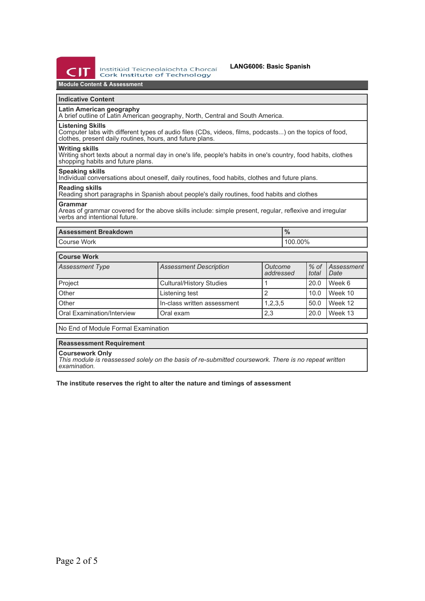

# **Module Content & Assessment**

## **Indicative Content**

### **Latin American geography**

A brief outline of Latin American geography, North, Central and South America.

#### **Listening Skills**

Computer labs with different types of audio files (CDs, videos, films, podcasts...) on the topics of food, clothes, present daily routines, hours, and future plans.

#### **Writing skills**

Writing short texts about a normal day in one's life, people's habits in one's country, food habits, clothes shopping habits and future plans.

# **Speaking skills**

Individual conversations about oneself, daily routines, food habits, clothes and future plans.

#### **Reading skills**

Reading short paragraphs in Spanish about people's daily routines, food habits and clothes

#### **Grammar**

Areas of grammar covered for the above skills include: simple present, regular, reflexive and irregular verbs and intentional future.

| <b>Assessment Breakdown</b> | 70      |  |
|-----------------------------|---------|--|
| <b>Course Work</b>          | 100.00% |  |

# **Course Work**

| <b>UUUISE IIUIN</b>        |                                 |                      |                 |                           |  |  |
|----------------------------|---------------------------------|----------------------|-----------------|---------------------------|--|--|
| <b>Assessment Type</b>     | <b>Assessment Description</b>   | Outcome<br>addressed | $%$ of<br>total | <i>Assessment</i><br>Date |  |  |
| Project                    | <b>Cultural/History Studies</b> |                      | 20.0            | Week 6                    |  |  |
| Other                      | Listening test                  |                      | 10.0            | Week 10                   |  |  |
| Other                      | In-class written assessment     | 1,2,3,5              | 50.0            | Week 12                   |  |  |
| Oral Examination/Interview | Oral exam                       | 2,3                  | 20.0            | Week 13                   |  |  |

No End of Module Formal Examination

### **Reassessment Requirement**

#### **Coursework Only**

*This module is reassessed solely on the basis of re-submitted coursework. There is no repeat written examination.*

**The institute reserves the right to alter the nature and timings of assessment**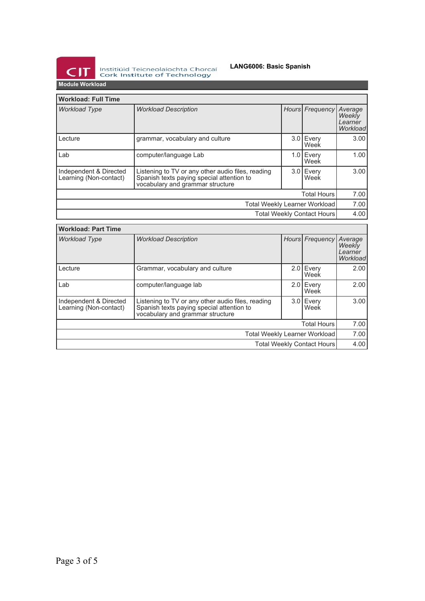

Institiúid Teicneolaíochta Chorcaí<br>Cork Institute of Technology

## **LANG6006: Basic Spanish**

**Module Workload**

| <b>Workload: Full Time</b>                       |                                                                                                                                    |      |                   |                                          |  |
|--------------------------------------------------|------------------------------------------------------------------------------------------------------------------------------------|------|-------------------|------------------------------------------|--|
| <b>Workload Type</b>                             | <b>Workload Description</b>                                                                                                        |      | Hours Frequency   | Average<br>Weekly<br>Learner<br>Workload |  |
| Lecture                                          | grammar, vocabulary and culture                                                                                                    |      | 3.0 Every<br>Week | 3.00                                     |  |
| Lab                                              | computer/language Lab                                                                                                              | 1.01 | Every<br>Week     | 1.00                                     |  |
| Independent & Directed<br>Learning (Non-contact) | Listening to TV or any other audio files, reading<br>Spanish texts paying special attention to<br>vocabulary and grammar structure |      | 3.0 Every<br>Week | 3.00                                     |  |
| <b>Total Hours</b>                               |                                                                                                                                    |      |                   |                                          |  |
| Total Weekly Learner Workload                    |                                                                                                                                    |      |                   | 7.00                                     |  |
| <b>Total Weekly Contact Hours</b>                |                                                                                                                                    |      |                   | 4.00                                     |  |

| <b>Workload: Part Time</b>                       |                                                                                                                                    |  |                     |                                                 |  |
|--------------------------------------------------|------------------------------------------------------------------------------------------------------------------------------------|--|---------------------|-------------------------------------------------|--|
| <b>Workload Type</b>                             | <b>Workload Description</b>                                                                                                        |  | Hours Frequency     | Average<br><b>Weekly</b><br>Learner<br>Workload |  |
| Lecture                                          | Grammar, vocabulary and culture                                                                                                    |  | 2.0 Every<br>Week   | 2.00                                            |  |
| Lab                                              | computer/language lab                                                                                                              |  | $2.0$ Every<br>Week | 2.00                                            |  |
| Independent & Directed<br>Learning (Non-contact) | Listening to TV or any other audio files, reading<br>Spanish texts paying special attention to<br>vocabulary and grammar structure |  | $3.0$ Every<br>Week | 3.00                                            |  |
| <b>Total Hours</b>                               |                                                                                                                                    |  |                     |                                                 |  |
| Total Weekly Learner Workload                    |                                                                                                                                    |  |                     | 7.00                                            |  |
| Total Weekly Contact Hours                       |                                                                                                                                    |  |                     | 4.00                                            |  |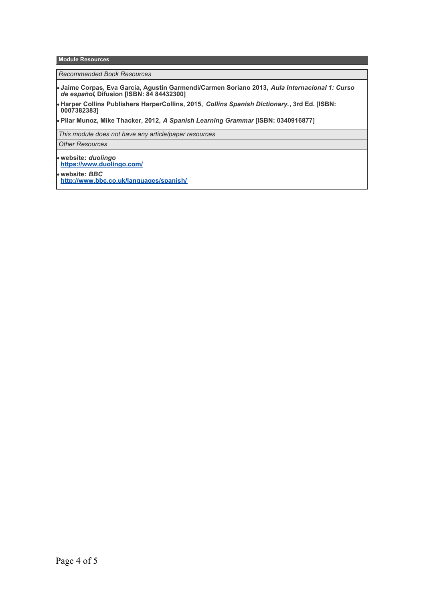**Module Resources**

*Recommended Book Resources*

**Jaime Corpas, Eva Garcia, Agustin Garmendi/Carmen Soriano 2013,** *Aula Internacional 1: Curso de español***, Difusion [ISBN: 84 84432300]**

**Harper Collins Publishers HarperCollins, 2015,** *Collins Spanish Dictionary.***, 3rd Ed. [ISBN: 0007382383]**

**Pilar Munoz, Mike Thacker, 2012,** *A Spanish Learning Grammar* **[ISBN: 0340916877]**

*This module does not have any article/paper resources*

*Other Resources*

**website:** *duolingo* **<https://www.duolingo.com/>**

**website:** *BBC* **<http://www.bbc.co.uk/languages/spanish/>**